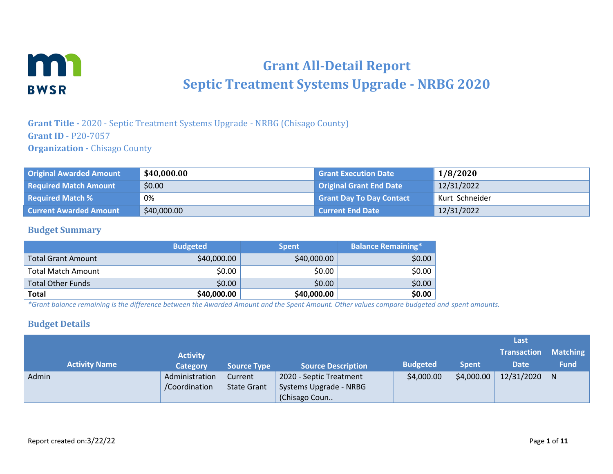

# **Grant All-Detail Report Septic Treatment Systems Upgrade - NRBG 2020**

**Grant Title -** 2020 - Septic Treatment Systems Upgrade - NRBG (Chisago County) **Grant ID** - P20-7057 **Organization -** Chisago County

| <b>Original Awarded Amount</b> | \$40,000.00 | <b>Grant Execution Date</b>     | 1/8/2020       |
|--------------------------------|-------------|---------------------------------|----------------|
| <b>Required Match Amount</b>   | \$0.00      | <b>Original Grant End Date</b>  | 12/31/2022     |
| <b>Required Match %</b>        | 0%          | <b>Grant Day To Day Contact</b> | Kurt Schneider |
| <b>Current Awarded Amount</b>  | \$40,000.00 | Current End Date                | 12/31/2022     |

#### **Budget Summary**

|                           | <b>Budgeted</b> | <b>Spent</b> | <b>Balance Remaining*</b> |
|---------------------------|-----------------|--------------|---------------------------|
| <b>Total Grant Amount</b> | \$40,000.00     | \$40,000.00  | \$0.00                    |
| <b>Total Match Amount</b> | \$0.00          | \$0.00       | \$0.00                    |
| <b>Total Other Funds</b>  | \$0.00          | \$0.00       | \$0.00                    |
| Total                     | \$40,000.00     | \$40,000.00  | \$0.00                    |

*\*Grant balance remaining is the difference between the Awarded Amount and the Spent Amount. Other values compare budgeted and spent amounts.*

#### **Budget Details**

|       |                      |                 |                    |                           |                 |              | Last               |                 |
|-------|----------------------|-----------------|--------------------|---------------------------|-----------------|--------------|--------------------|-----------------|
|       |                      | <b>Activity</b> |                    |                           |                 |              | <b>Transaction</b> | <b>Matching</b> |
|       | <b>Activity Name</b> | <b>Category</b> | <b>Source Type</b> | <b>Source Description</b> | <b>Budgeted</b> | <b>Spent</b> | <b>Date</b>        | <b>Fund</b>     |
| Admin |                      | Administration  | Current            | 2020 - Septic Treatment   | \$4,000.00      | \$4,000.00   | 12/31/2020         | N               |
|       |                      | /Coordination   | <b>State Grant</b> | Systems Upgrade - NRBG    |                 |              |                    |                 |
|       |                      |                 |                    | (Chisago Coun             |                 |              |                    |                 |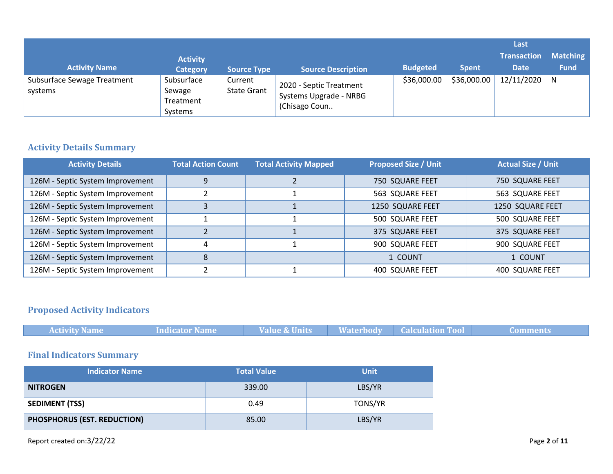|                                        |                                              |                               |                                                                    |                 |              | Last<br><b>Transaction</b> | <b>Matching</b> |
|----------------------------------------|----------------------------------------------|-------------------------------|--------------------------------------------------------------------|-----------------|--------------|----------------------------|-----------------|
| <b>Activity Name</b>                   | <b>Activity</b><br><b>Category</b>           | <b>Source Type</b>            | <b>Source Description</b>                                          | <b>Budgeted</b> | <b>Spent</b> | <b>Date</b>                | <b>Fund</b>     |
| Subsurface Sewage Treatment<br>systems | Subsurface<br>Sewage<br>Treatment<br>Systems | Current<br><b>State Grant</b> | 2020 - Septic Treatment<br>Systems Upgrade - NRBG<br>(Chisago Coun | \$36,000.00     | \$36,000.00  | 12/11/2020                 | N               |

# **Activity Details Summary**

| <b>Activity Details</b>          | <b>Total Action Count</b> | <b>Total Activity Mapped</b> | <b>Proposed Size / Unit</b> | <b>Actual Size / Unit</b> |
|----------------------------------|---------------------------|------------------------------|-----------------------------|---------------------------|
| 126M - Septic System Improvement | 9                         |                              | 750 SQUARE FEET             | 750 SQUARE FEET           |
| 126M - Septic System Improvement |                           |                              | 563 SQUARE FEET             | 563 SQUARE FEET           |
| 126M - Septic System Improvement |                           |                              | 1250 SQUARE FEET            | 1250 SQUARE FEET          |
| 126M - Septic System Improvement |                           |                              | 500 SQUARE FEET             | 500 SQUARE FEET           |
| 126M - Septic System Improvement |                           |                              | 375 SQUARE FEET             | 375 SQUARE FEET           |
| 126M - Septic System Improvement |                           |                              | 900 SQUARE FEET             | 900 SQUARE FEET           |
| 126M - Septic System Improvement | 8                         |                              | 1 COUNT                     | 1 COUNT                   |
| 126M - Septic System Improvement |                           |                              | <b>400 SQUARE FEET</b>      | <b>400 SQUARE FEET</b>    |

# **Proposed Activity Indicators**

| <b>Indicator Name</b><br><b>Activity Name</b> | <b>Value &amp; Units</b> | <b>Waterbody</b> | <b>Calculation Tool</b> |
|-----------------------------------------------|--------------------------|------------------|-------------------------|
|                                               |                          |                  |                         |
| <b>Final Indicators Summary</b>               |                          |                  |                         |
| <b>Indicator Name</b>                         | <b>Total Value</b>       | <b>Unit</b>      |                         |
| <b>NITROGEN</b>                               | 339.00                   | LBS/YR           |                         |
| <b>SEDIMENT (TSS)</b>                         | 0.49                     | TONS/YR          |                         |
|                                               |                          |                  |                         |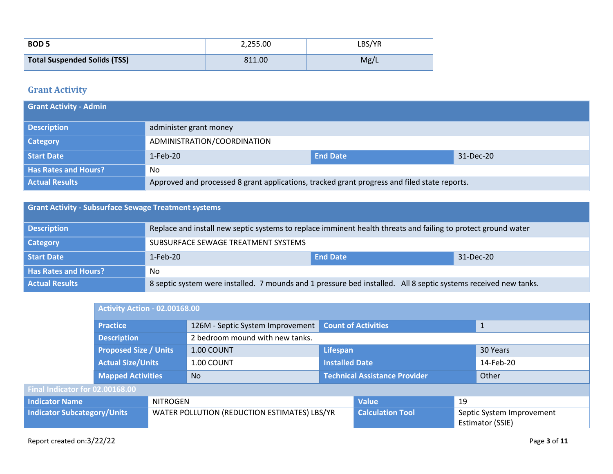| <b>BOD 5</b>                 | 2,255.00 | LBS/YR |
|------------------------------|----------|--------|
| Total Suspended Solids (TSS) | 811.00   | Mg/L   |

### **Grant Activity**

| <b>Grant Activity - Admin</b> |                                                                                              |                 |           |
|-------------------------------|----------------------------------------------------------------------------------------------|-----------------|-----------|
| <b>Description</b>            | administer grant money                                                                       |                 |           |
| <b>Category</b>               | ADMINISTRATION/COORDINATION                                                                  |                 |           |
| <b>Start Date</b>             | $1-Feb-20$                                                                                   | <b>End Date</b> | 31-Dec-20 |
| <b>Has Rates and Hours?</b>   | No                                                                                           |                 |           |
| <b>Actual Results</b>         | Approved and processed 8 grant applications, tracked grant progress and filed state reports. |                 |           |

| <b>Grant Activity - Subsurface Sewage Treatment systems</b> |                                                                                                                 |                 |           |  |  |
|-------------------------------------------------------------|-----------------------------------------------------------------------------------------------------------------|-----------------|-----------|--|--|
| <b>Description</b>                                          | Replace and install new septic systems to replace imminent health threats and failing to protect ground water   |                 |           |  |  |
| <b>Category</b>                                             | SUBSURFACE SEWAGE TREATMENT SYSTEMS                                                                             |                 |           |  |  |
| Start Date                                                  | $1-Feb-20$                                                                                                      | <b>End Date</b> | 31-Dec-20 |  |  |
| <b>Has Rates and Hours?</b>                                 | No.                                                                                                             |                 |           |  |  |
| <b>Actual Results</b>                                       | 8 septic system were installed. 7 mounds and 1 pressure bed installed. All 8 septic systems received new tanks. |                 |           |  |  |

|                                          | <b>Activity Action - 02.00168.00</b>                     |                                              |                                  |                                      |                                               |  |              |
|------------------------------------------|----------------------------------------------------------|----------------------------------------------|----------------------------------|--------------------------------------|-----------------------------------------------|--|--------------|
|                                          | <b>Practice</b>                                          |                                              | 126M - Septic System Improvement |                                      | <b>Count of Activities</b>                    |  | $\mathbf{1}$ |
|                                          | <b>Description</b>                                       |                                              | 2 bedroom mound with new tanks.  |                                      |                                               |  |              |
|                                          | <b>Proposed Size / Units</b><br><b>Actual Size/Units</b> |                                              | 1.00 COUNT                       | Lifespan                             |                                               |  | 30 Years     |
|                                          |                                                          |                                              | 1.00 COUNT                       | <b>Installed Date</b>                |                                               |  | 14-Feb-20    |
|                                          | <b>Mapped Activities</b>                                 |                                              | <b>No</b>                        | <b>Technical Assistance Provider</b> |                                               |  | Other        |
| Final Indicator for 02.00168.00          |                                                          |                                              |                                  |                                      |                                               |  |              |
| <b>Indicator Name</b><br><b>NITROGEN</b> |                                                          |                                              |                                  | <b>Value</b>                         | 19                                            |  |              |
| <b>Indicator Subcategory/Units</b>       |                                                          | WATER POLLUTION (REDUCTION ESTIMATES) LBS/YR |                                  | <b>Calculation Tool</b>              | Septic System Improvement<br>Estimator (SSIE) |  |              |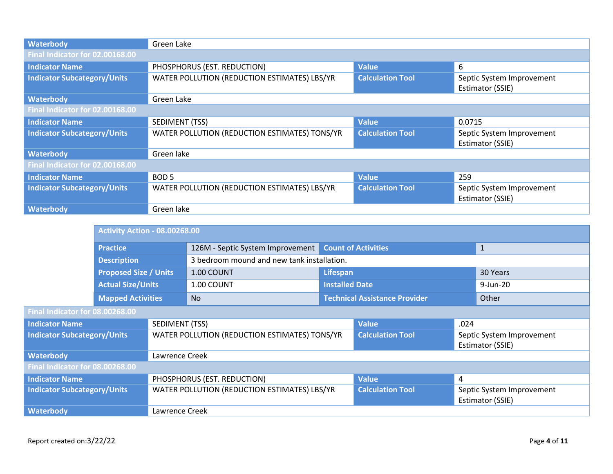| Waterbody                          | Green Lake                                    |                         |                                               |  |  |  |  |
|------------------------------------|-----------------------------------------------|-------------------------|-----------------------------------------------|--|--|--|--|
| Final Indicator for 02.00168.00    |                                               |                         |                                               |  |  |  |  |
| <b>Indicator Name</b>              | PHOSPHORUS (EST. REDUCTION)                   | <b>Value</b>            | 6                                             |  |  |  |  |
| <b>Indicator Subcategory/Units</b> | WATER POLLUTION (REDUCTION ESTIMATES) LBS/YR  | <b>Calculation Tool</b> | Septic System Improvement<br>Estimator (SSIE) |  |  |  |  |
| Waterbody                          | Green Lake                                    |                         |                                               |  |  |  |  |
| Final Indicator for 02.00168.00    |                                               |                         |                                               |  |  |  |  |
| <b>Indicator Name</b>              | SEDIMENT (TSS)                                | <b>Value</b>            | 0.0715                                        |  |  |  |  |
| <b>Indicator Subcategory/Units</b> | WATER POLLUTION (REDUCTION ESTIMATES) TONS/YR | <b>Calculation Tool</b> | Septic System Improvement<br>Estimator (SSIE) |  |  |  |  |
| Waterbody                          | Green lake                                    |                         |                                               |  |  |  |  |
| Final Indicator for 02.00168.00    |                                               |                         |                                               |  |  |  |  |
| <b>Indicator Name</b>              | BOD <sub>5</sub>                              | <b>Value</b>            | 259                                           |  |  |  |  |
| <b>Indicator Subcategory/Units</b> | WATER POLLUTION (REDUCTION ESTIMATES) LBS/YR  | <b>Calculation Tool</b> | Septic System Improvement<br>Estimator (SSIE) |  |  |  |  |
| Waterbody                          | Green lake                                    |                         |                                               |  |  |  |  |

|                                    | <b>Activity Action - 08.00268.00</b>                                           |                                              |                                               |                                      |                            |                                               |              |
|------------------------------------|--------------------------------------------------------------------------------|----------------------------------------------|-----------------------------------------------|--------------------------------------|----------------------------|-----------------------------------------------|--------------|
|                                    | <b>Practice</b>                                                                |                                              | 126M - Septic System Improvement              |                                      | <b>Count of Activities</b> |                                               | $\mathbf{1}$ |
|                                    | <b>Description</b><br><b>Proposed Size / Units</b><br><b>Actual Size/Units</b> |                                              | 3 bedroom mound and new tank installation.    |                                      |                            |                                               |              |
|                                    |                                                                                |                                              | 1.00 COUNT                                    | Lifespan                             |                            |                                               | 30 Years     |
|                                    |                                                                                |                                              | 1.00 COUNT                                    | <b>Installed Date</b>                |                            |                                               | 9-Jun-20     |
|                                    | <b>Mapped Activities</b>                                                       |                                              | No                                            | <b>Technical Assistance Provider</b> |                            | Other                                         |              |
| Final Indicator for 08.00268.00    |                                                                                |                                              |                                               |                                      |                            |                                               |              |
| <b>Indicator Name</b>              |                                                                                | SEDIMENT (TSS)                               |                                               |                                      | <b>Value</b>               | .024                                          |              |
| <b>Indicator Subcategory/Units</b> |                                                                                |                                              | WATER POLLUTION (REDUCTION ESTIMATES) TONS/YR |                                      | <b>Calculation Tool</b>    | Septic System Improvement<br>Estimator (SSIE) |              |
| <b>Waterbody</b>                   |                                                                                | Lawrence Creek                               |                                               |                                      |                            |                                               |              |
| Final Indicator for 08.00268.00    |                                                                                |                                              |                                               |                                      |                            |                                               |              |
| <b>Indicator Name</b>              |                                                                                |                                              | PHOSPHORUS (EST. REDUCTION)                   |                                      | <b>Value</b>               | 4                                             |              |
| <b>Indicator Subcategory/Units</b> |                                                                                | WATER POLLUTION (REDUCTION ESTIMATES) LBS/YR |                                               | <b>Calculation Tool</b>              |                            | Septic System Improvement<br>Estimator (SSIE) |              |
| <b>Waterbody</b>                   |                                                                                | Lawrence Creek                               |                                               |                                      |                            |                                               |              |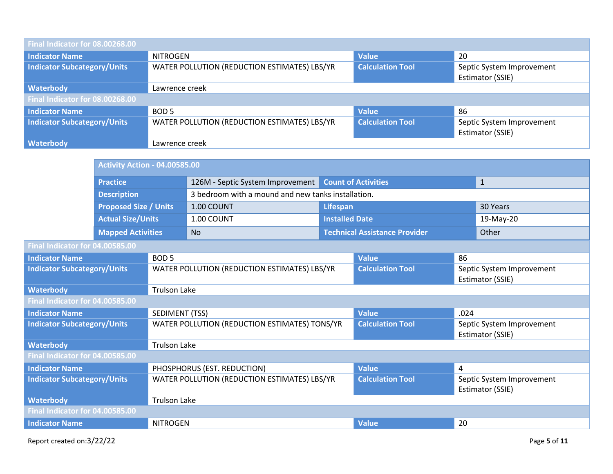| Final Indicator for 08.00268.00    |                                                                                                                          |                         |                                               |  |  |  |  |
|------------------------------------|--------------------------------------------------------------------------------------------------------------------------|-------------------------|-----------------------------------------------|--|--|--|--|
| <b>Indicator Name</b>              | <b>NITROGEN</b>                                                                                                          | <b>Value</b>            | 20                                            |  |  |  |  |
| <b>Indicator Subcategory/Units</b> | WATER POLLUTION (REDUCTION ESTIMATES) LBS/YR<br><b>Calculation Tool</b><br>Septic System Improvement<br>Estimator (SSIE) |                         |                                               |  |  |  |  |
| <b>Waterbody</b>                   | Lawrence creek                                                                                                           |                         |                                               |  |  |  |  |
| Final Indicator for 08.00268.00    |                                                                                                                          |                         |                                               |  |  |  |  |
| <b>Indicator Name</b>              | BOD <sub>5</sub>                                                                                                         | <b>Value</b>            | 86                                            |  |  |  |  |
| <b>Indicator Subcategory/Units</b> | WATER POLLUTION (REDUCTION ESTIMATES) LBS/YR                                                                             | <b>Calculation Tool</b> | Septic System Improvement<br>Estimator (SSIE) |  |  |  |  |
| <b>Waterbody</b>                   | Lawrence creek                                                                                                           |                         |                                               |  |  |  |  |

|                                    |                                    | <b>Activity Action - 04.00585.00</b>          |                                                    |                            |                                      |                                               |           |  |
|------------------------------------|------------------------------------|-----------------------------------------------|----------------------------------------------------|----------------------------|--------------------------------------|-----------------------------------------------|-----------|--|
|                                    | <b>Practice</b>                    |                                               | 126M - Septic System Improvement                   | <b>Count of Activities</b> |                                      | $\mathbf{1}$                                  |           |  |
|                                    | <b>Description</b>                 |                                               | 3 bedroom with a mound and new tanks installation. |                            |                                      |                                               |           |  |
|                                    | <b>Proposed Size / Units</b>       |                                               | 1.00 COUNT                                         | Lifespan                   |                                      |                                               | 30 Years  |  |
|                                    | <b>Actual Size/Units</b>           |                                               | 1.00 COUNT                                         | <b>Installed Date</b>      |                                      |                                               | 19-May-20 |  |
|                                    | <b>Mapped Activities</b>           |                                               | <b>No</b>                                          |                            | <b>Technical Assistance Provider</b> |                                               | Other     |  |
| Final Indicator for 04.00585.00    |                                    |                                               |                                                    |                            |                                      |                                               |           |  |
| <b>Indicator Name</b>              |                                    | BOD <sub>5</sub>                              |                                                    |                            | <b>Value</b>                         | 86                                            |           |  |
|                                    | <b>Indicator Subcategory/Units</b> |                                               | WATER POLLUTION (REDUCTION ESTIMATES) LBS/YR       |                            | <b>Calculation Tool</b>              | Septic System Improvement<br>Estimator (SSIE) |           |  |
| <b>Waterbody</b>                   |                                    | <b>Trulson Lake</b>                           |                                                    |                            |                                      |                                               |           |  |
| Final Indicator for 04.00585.00    |                                    |                                               |                                                    |                            |                                      |                                               |           |  |
| <b>Indicator Name</b>              |                                    | SEDIMENT (TSS)                                |                                                    |                            | <b>Value</b>                         | .024                                          |           |  |
| <b>Indicator Subcategory/Units</b> |                                    | WATER POLLUTION (REDUCTION ESTIMATES) TONS/YR |                                                    |                            | <b>Calculation Tool</b>              | Septic System Improvement<br>Estimator (SSIE) |           |  |
| <b>Waterbody</b>                   |                                    | <b>Trulson Lake</b>                           |                                                    |                            |                                      |                                               |           |  |
| Final Indicator for 04.00585.00    |                                    |                                               |                                                    |                            |                                      |                                               |           |  |
| <b>Indicator Name</b>              |                                    |                                               | PHOSPHORUS (EST. REDUCTION)                        |                            | <b>Value</b>                         | 4                                             |           |  |
| <b>Indicator Subcategory/Units</b> |                                    | WATER POLLUTION (REDUCTION ESTIMATES) LBS/YR  |                                                    | <b>Calculation Tool</b>    |                                      | Septic System Improvement<br>Estimator (SSIE) |           |  |
| <b>Waterbody</b>                   |                                    | <b>Trulson Lake</b>                           |                                                    |                            |                                      |                                               |           |  |
| Final Indicator for 04.00585.00    |                                    |                                               |                                                    |                            |                                      |                                               |           |  |
| <b>Indicator Name</b>              |                                    | <b>NITROGEN</b>                               |                                                    |                            | <b>Value</b>                         | 20                                            |           |  |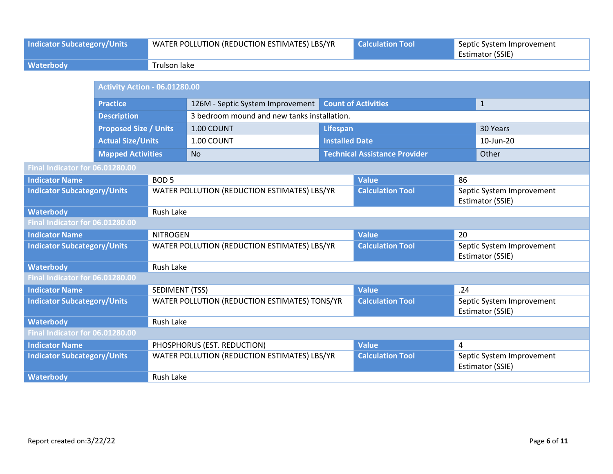| <b>Indicator Subcategory/Units</b> |                                                                                    | WATER POLLUTION (REDUCTION ESTIMATES) LBS/YR |                                               | <b>Calculation Tool</b> |                                      | Septic System Improvement<br>Estimator (SSIE) |                                               |
|------------------------------------|------------------------------------------------------------------------------------|----------------------------------------------|-----------------------------------------------|-------------------------|--------------------------------------|-----------------------------------------------|-----------------------------------------------|
| <b>Waterbody</b>                   |                                                                                    | <b>Trulson lake</b>                          |                                               |                         |                                      |                                               |                                               |
|                                    |                                                                                    |                                              |                                               |                         |                                      |                                               |                                               |
|                                    | <b>Activity Action - 06.01280.00</b>                                               |                                              |                                               |                         |                                      |                                               |                                               |
|                                    | <b>Practice</b>                                                                    |                                              | 126M - Septic System Improvement              |                         | <b>Count of Activities</b>           |                                               | $\mathbf{1}$                                  |
|                                    | <b>Description</b>                                                                 |                                              | 3 bedroom mound and new tanks installation.   |                         |                                      |                                               |                                               |
|                                    | <b>Proposed Size / Units</b>                                                       |                                              | 1.00 COUNT                                    | <b>Lifespan</b>         |                                      |                                               | 30 Years                                      |
|                                    | <b>Actual Size/Units</b>                                                           |                                              | 1.00 COUNT                                    | <b>Installed Date</b>   |                                      |                                               | 10-Jun-20                                     |
|                                    | <b>Mapped Activities</b>                                                           |                                              | <b>No</b>                                     |                         | <b>Technical Assistance Provider</b> |                                               | Other                                         |
| Final Indicator for 06.01280.00    |                                                                                    |                                              |                                               |                         |                                      |                                               |                                               |
| <b>Indicator Name</b>              |                                                                                    | BOD <sub>5</sub>                             |                                               |                         | <b>Value</b>                         | 86                                            |                                               |
|                                    | <b>Indicator Subcategory/Units</b><br>WATER POLLUTION (REDUCTION ESTIMATES) LBS/YR |                                              |                                               |                         | <b>Calculation Tool</b>              |                                               | Septic System Improvement<br>Estimator (SSIE) |
| <b>Waterbody</b>                   |                                                                                    | <b>Rush Lake</b>                             |                                               |                         |                                      |                                               |                                               |
| Final Indicator for 06.01280.00    |                                                                                    |                                              |                                               |                         |                                      |                                               |                                               |
| <b>Indicator Name</b>              |                                                                                    | <b>NITROGEN</b>                              |                                               |                         | <b>Value</b>                         | 20                                            |                                               |
| <b>Indicator Subcategory/Units</b> |                                                                                    |                                              | WATER POLLUTION (REDUCTION ESTIMATES) LBS/YR  |                         | <b>Calculation Tool</b>              | Septic System Improvement<br>Estimator (SSIE) |                                               |
| <b>Waterbody</b>                   |                                                                                    | Rush Lake                                    |                                               |                         |                                      |                                               |                                               |
| Final Indicator for 06.01280.00    |                                                                                    |                                              |                                               |                         |                                      |                                               |                                               |
| <b>Indicator Name</b>              |                                                                                    | <b>SEDIMENT (TSS)</b>                        |                                               |                         | <b>Value</b>                         | .24                                           |                                               |
| <b>Indicator Subcategory/Units</b> |                                                                                    |                                              | WATER POLLUTION (REDUCTION ESTIMATES) TONS/YR |                         | <b>Calculation Tool</b>              | Septic System Improvement<br>Estimator (SSIE) |                                               |
| <b>Waterbody</b>                   |                                                                                    | Rush Lake                                    |                                               |                         |                                      |                                               |                                               |
| Final Indicator for 06.01280.00    |                                                                                    |                                              |                                               |                         |                                      |                                               |                                               |
| <b>Indicator Name</b>              |                                                                                    |                                              | PHOSPHORUS (EST. REDUCTION)                   |                         | <b>Value</b>                         | 4                                             |                                               |
| <b>Indicator Subcategory/Units</b> |                                                                                    |                                              | WATER POLLUTION (REDUCTION ESTIMATES) LBS/YR  |                         | <b>Calculation Tool</b>              |                                               | Septic System Improvement<br>Estimator (SSIE) |
| <b>Waterbody</b>                   |                                                                                    | Rush Lake                                    |                                               |                         |                                      |                                               |                                               |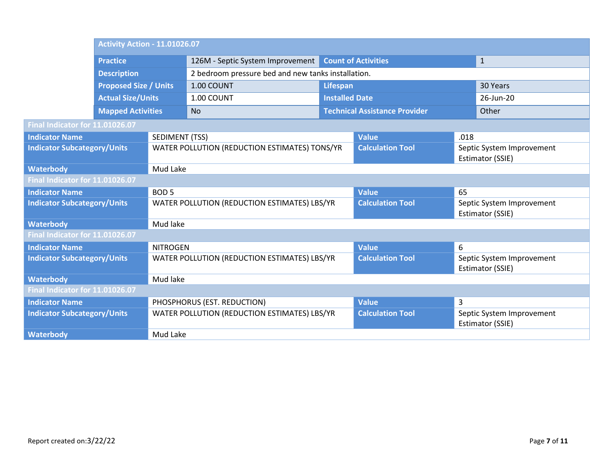|                                    | <b>Activity Action - 11.01026.07</b> |                       |                                                                                |                                      |                         |                                               |                                               |  |
|------------------------------------|--------------------------------------|-----------------------|--------------------------------------------------------------------------------|--------------------------------------|-------------------------|-----------------------------------------------|-----------------------------------------------|--|
|                                    | <b>Practice</b>                      |                       | <b>Count of Activities</b><br>126M - Septic System Improvement<br>$\mathbf{1}$ |                                      |                         |                                               |                                               |  |
|                                    | <b>Description</b>                   |                       | 2 bedroom pressure bed and new tanks installation.                             |                                      |                         |                                               |                                               |  |
|                                    | <b>Proposed Size / Units</b>         |                       | 1.00 COUNT                                                                     | <b>Lifespan</b>                      |                         |                                               | 30 Years                                      |  |
|                                    | <b>Actual Size/Units</b>             |                       | 1.00 COUNT                                                                     | <b>Installed Date</b>                |                         |                                               | 26-Jun-20                                     |  |
|                                    | <b>Mapped Activities</b>             |                       | <b>No</b>                                                                      | <b>Technical Assistance Provider</b> |                         |                                               | Other                                         |  |
| Final Indicator for 11.01026.07    |                                      |                       |                                                                                |                                      |                         |                                               |                                               |  |
| <b>Indicator Name</b>              |                                      | <b>SEDIMENT (TSS)</b> |                                                                                |                                      | <b>Value</b>            | .018                                          |                                               |  |
|                                    | <b>Indicator Subcategory/Units</b>   |                       | WATER POLLUTION (REDUCTION ESTIMATES) TONS/YR                                  |                                      | <b>Calculation Tool</b> | Septic System Improvement<br>Estimator (SSIE) |                                               |  |
| <b>Waterbody</b>                   |                                      | Mud Lake              |                                                                                |                                      |                         |                                               |                                               |  |
| Final Indicator for 11.01026.07    |                                      |                       |                                                                                |                                      |                         |                                               |                                               |  |
| <b>Indicator Name</b>              |                                      | BOD <sub>5</sub>      |                                                                                |                                      | <b>Value</b>            | 65                                            |                                               |  |
| <b>Indicator Subcategory/Units</b> |                                      |                       | WATER POLLUTION (REDUCTION ESTIMATES) LBS/YR                                   |                                      | <b>Calculation Tool</b> | Septic System Improvement<br>Estimator (SSIE) |                                               |  |
| <b>Waterbody</b>                   |                                      | Mud lake              |                                                                                |                                      |                         |                                               |                                               |  |
| Final Indicator for 11.01026.07    |                                      |                       |                                                                                |                                      |                         |                                               |                                               |  |
| <b>Indicator Name</b>              |                                      | <b>NITROGEN</b>       |                                                                                |                                      | <b>Value</b>            | 6                                             |                                               |  |
| <b>Indicator Subcategory/Units</b> |                                      |                       | WATER POLLUTION (REDUCTION ESTIMATES) LBS/YR                                   |                                      | <b>Calculation Tool</b> |                                               | Septic System Improvement<br>Estimator (SSIE) |  |
| <b>Waterbody</b>                   |                                      | Mud lake              |                                                                                |                                      |                         |                                               |                                               |  |
| Final Indicator for 11.01026.07    |                                      |                       |                                                                                |                                      |                         |                                               |                                               |  |
| <b>Indicator Name</b>              |                                      |                       | PHOSPHORUS (EST. REDUCTION)                                                    |                                      | <b>Value</b>            | 3                                             |                                               |  |
| <b>Indicator Subcategory/Units</b> |                                      |                       | WATER POLLUTION (REDUCTION ESTIMATES) LBS/YR                                   |                                      | <b>Calculation Tool</b> |                                               | Septic System Improvement<br>Estimator (SSIE) |  |
| <b>Waterbody</b>                   |                                      | Mud Lake              |                                                                                |                                      |                         |                                               |                                               |  |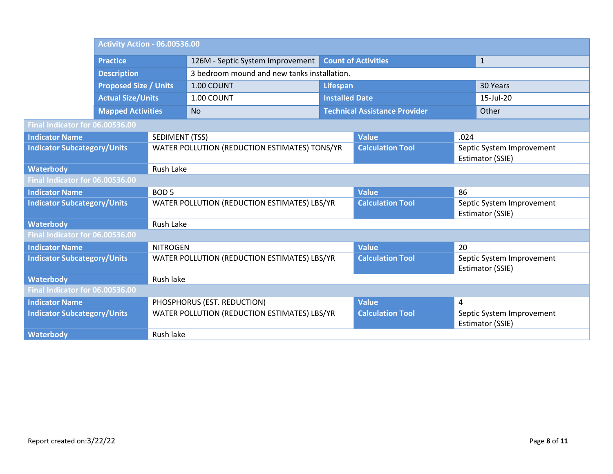|                                    | <b>Activity Action - 06.00536.00</b> |                       |                                                                                |                                      |                         |                                               |                                               |  |
|------------------------------------|--------------------------------------|-----------------------|--------------------------------------------------------------------------------|--------------------------------------|-------------------------|-----------------------------------------------|-----------------------------------------------|--|
|                                    | <b>Practice</b>                      |                       | <b>Count of Activities</b><br>126M - Septic System Improvement<br>$\mathbf{1}$ |                                      |                         |                                               |                                               |  |
|                                    | <b>Description</b>                   |                       | 3 bedroom mound and new tanks installation.                                    |                                      |                         |                                               |                                               |  |
|                                    | <b>Proposed Size / Units</b>         |                       | 1.00 COUNT                                                                     | <b>Lifespan</b>                      |                         |                                               | 30 Years                                      |  |
|                                    | <b>Actual Size/Units</b>             |                       | 1.00 COUNT                                                                     | <b>Installed Date</b>                |                         |                                               | 15-Jul-20                                     |  |
|                                    | <b>Mapped Activities</b>             |                       | <b>No</b>                                                                      | <b>Technical Assistance Provider</b> |                         |                                               | Other                                         |  |
| Final Indicator for 06.00536.00    |                                      |                       |                                                                                |                                      |                         |                                               |                                               |  |
| <b>Indicator Name</b>              |                                      | <b>SEDIMENT (TSS)</b> |                                                                                |                                      | <b>Value</b>            | .024                                          |                                               |  |
| <b>Indicator Subcategory/Units</b> |                                      |                       | WATER POLLUTION (REDUCTION ESTIMATES) TONS/YR                                  |                                      | <b>Calculation Tool</b> |                                               | Septic System Improvement<br>Estimator (SSIE) |  |
| <b>Waterbody</b>                   |                                      | Rush Lake             |                                                                                |                                      |                         |                                               |                                               |  |
| Final Indicator for 06.00536.00    |                                      |                       |                                                                                |                                      |                         |                                               |                                               |  |
| <b>Indicator Name</b>              |                                      | BOD <sub>5</sub>      |                                                                                |                                      | <b>Value</b>            | 86                                            |                                               |  |
| <b>Indicator Subcategory/Units</b> |                                      |                       | WATER POLLUTION (REDUCTION ESTIMATES) LBS/YR                                   |                                      | <b>Calculation Tool</b> | Septic System Improvement<br>Estimator (SSIE) |                                               |  |
| <b>Waterbody</b>                   |                                      | Rush Lake             |                                                                                |                                      |                         |                                               |                                               |  |
| Final Indicator for 06.00536.00    |                                      |                       |                                                                                |                                      |                         |                                               |                                               |  |
| <b>Indicator Name</b>              |                                      | <b>NITROGEN</b>       |                                                                                |                                      | <b>Value</b>            | 20                                            |                                               |  |
| <b>Indicator Subcategory/Units</b> |                                      |                       | <b>Calculation Tool</b><br>WATER POLLUTION (REDUCTION ESTIMATES) LBS/YR        |                                      |                         | Septic System Improvement<br>Estimator (SSIE) |                                               |  |
| <b>Waterbody</b>                   |                                      | Rush lake             |                                                                                |                                      |                         |                                               |                                               |  |
| Final Indicator for 06.00536.00    |                                      |                       |                                                                                |                                      |                         |                                               |                                               |  |
| <b>Indicator Name</b>              |                                      |                       | PHOSPHORUS (EST. REDUCTION)                                                    |                                      | <b>Value</b>            | 4                                             |                                               |  |
| <b>Indicator Subcategory/Units</b> |                                      |                       | WATER POLLUTION (REDUCTION ESTIMATES) LBS/YR                                   |                                      | <b>Calculation Tool</b> |                                               | Septic System Improvement<br>Estimator (SSIE) |  |
| <b>Waterbody</b>                   |                                      | Rush lake             |                                                                                |                                      |                         |                                               |                                               |  |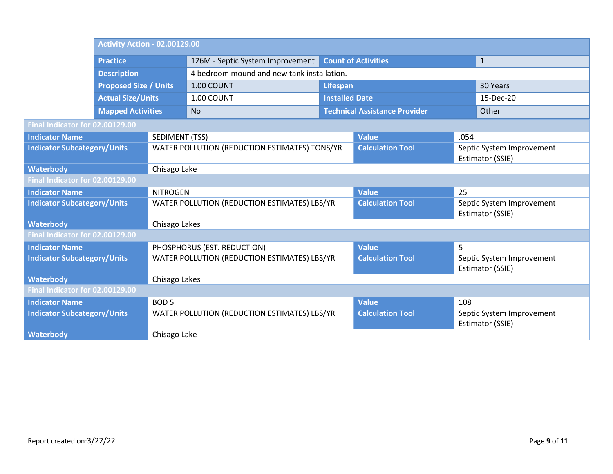|                                    | <b>Activity Action - 02.00129.00</b> |                       |                                                                                |                                      |                         |                                               |                                               |  |
|------------------------------------|--------------------------------------|-----------------------|--------------------------------------------------------------------------------|--------------------------------------|-------------------------|-----------------------------------------------|-----------------------------------------------|--|
|                                    | <b>Practice</b>                      |                       | <b>Count of Activities</b><br>126M - Septic System Improvement<br>$\mathbf{1}$ |                                      |                         |                                               |                                               |  |
|                                    | <b>Description</b>                   |                       | 4 bedroom mound and new tank installation.                                     |                                      |                         |                                               |                                               |  |
|                                    | <b>Proposed Size / Units</b>         |                       | 1.00 COUNT                                                                     | Lifespan                             |                         |                                               | 30 Years                                      |  |
|                                    | <b>Actual Size/Units</b>             |                       | 1.00 COUNT                                                                     | <b>Installed Date</b>                |                         |                                               | 15-Dec-20                                     |  |
|                                    | <b>Mapped Activities</b>             |                       | <b>No</b>                                                                      | <b>Technical Assistance Provider</b> |                         |                                               | Other                                         |  |
| Final Indicator for 02.00129.00    |                                      |                       |                                                                                |                                      |                         |                                               |                                               |  |
| <b>Indicator Name</b>              |                                      | <b>SEDIMENT (TSS)</b> |                                                                                |                                      | <b>Value</b>            | .054                                          |                                               |  |
|                                    | <b>Indicator Subcategory/Units</b>   |                       | WATER POLLUTION (REDUCTION ESTIMATES) TONS/YR                                  |                                      | <b>Calculation Tool</b> | Septic System Improvement<br>Estimator (SSIE) |                                               |  |
| <b>Waterbody</b>                   |                                      | Chisago Lake          |                                                                                |                                      |                         |                                               |                                               |  |
| Final Indicator for 02.00129.00    |                                      |                       |                                                                                |                                      |                         |                                               |                                               |  |
| <b>Indicator Name</b>              |                                      | <b>NITROGEN</b>       |                                                                                |                                      | <b>Value</b>            | 25                                            |                                               |  |
| <b>Indicator Subcategory/Units</b> |                                      |                       | WATER POLLUTION (REDUCTION ESTIMATES) LBS/YR                                   |                                      | <b>Calculation Tool</b> | Septic System Improvement<br>Estimator (SSIE) |                                               |  |
| <b>Waterbody</b>                   |                                      | Chisago Lakes         |                                                                                |                                      |                         |                                               |                                               |  |
| Final Indicator for 02.00129.00    |                                      |                       |                                                                                |                                      |                         |                                               |                                               |  |
| <b>Indicator Name</b>              |                                      |                       | PHOSPHORUS (EST. REDUCTION)                                                    |                                      | <b>Value</b>            | 5                                             |                                               |  |
| <b>Indicator Subcategory/Units</b> |                                      |                       | WATER POLLUTION (REDUCTION ESTIMATES) LBS/YR                                   |                                      | <b>Calculation Tool</b> |                                               | Septic System Improvement<br>Estimator (SSIE) |  |
| <b>Waterbody</b>                   |                                      | Chisago Lakes         |                                                                                |                                      |                         |                                               |                                               |  |
| Final Indicator for 02.00129.00    |                                      |                       |                                                                                |                                      |                         |                                               |                                               |  |
| <b>Indicator Name</b>              |                                      | <b>BOD5</b>           |                                                                                |                                      | <b>Value</b>            | 108                                           |                                               |  |
| <b>Indicator Subcategory/Units</b> |                                      |                       | WATER POLLUTION (REDUCTION ESTIMATES) LBS/YR                                   |                                      | <b>Calculation Tool</b> |                                               | Septic System Improvement<br>Estimator (SSIE) |  |
| <b>Waterbody</b>                   |                                      |                       | Chisago Lake                                                                   |                                      |                         |                                               |                                               |  |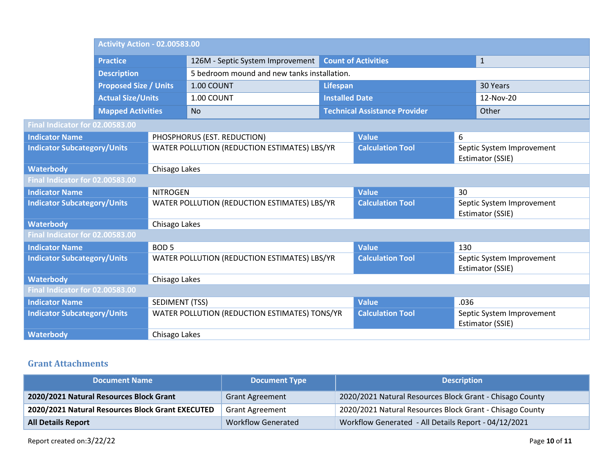|                                    | <b>Activity Action - 02.00583.00</b> |                       |                                                                                |                       |                                      |                                               |                                               |  |
|------------------------------------|--------------------------------------|-----------------------|--------------------------------------------------------------------------------|-----------------------|--------------------------------------|-----------------------------------------------|-----------------------------------------------|--|
|                                    | <b>Practice</b>                      |                       | 126M - Septic System Improvement<br><b>Count of Activities</b><br>$\mathbf{1}$ |                       |                                      |                                               |                                               |  |
|                                    | <b>Description</b>                   |                       | 5 bedroom mound and new tanks installation.                                    |                       |                                      |                                               |                                               |  |
|                                    | <b>Proposed Size / Units</b>         |                       | 1.00 COUNT                                                                     | Lifespan              |                                      |                                               | 30 Years                                      |  |
|                                    | <b>Actual Size/Units</b>             |                       | 1.00 COUNT                                                                     | <b>Installed Date</b> |                                      |                                               | 12-Nov-20                                     |  |
|                                    | <b>Mapped Activities</b>             |                       | <b>No</b>                                                                      |                       | <b>Technical Assistance Provider</b> |                                               | Other                                         |  |
| Final Indicator for 02.00583.00    |                                      |                       |                                                                                |                       |                                      |                                               |                                               |  |
| <b>Indicator Name</b>              |                                      |                       | PHOSPHORUS (EST. REDUCTION)                                                    |                       | <b>Value</b>                         | 6                                             |                                               |  |
|                                    | <b>Indicator Subcategory/Units</b>   |                       | WATER POLLUTION (REDUCTION ESTIMATES) LBS/YR                                   |                       | <b>Calculation Tool</b>              | Septic System Improvement<br>Estimator (SSIE) |                                               |  |
| <b>Waterbody</b>                   | Chisago Lakes                        |                       |                                                                                |                       |                                      |                                               |                                               |  |
| Final Indicator for 02.00583.00    |                                      |                       |                                                                                |                       |                                      |                                               |                                               |  |
| <b>Indicator Name</b>              |                                      | <b>NITROGEN</b>       |                                                                                |                       | <b>Value</b>                         | 30                                            |                                               |  |
| <b>Indicator Subcategory/Units</b> |                                      |                       | WATER POLLUTION (REDUCTION ESTIMATES) LBS/YR                                   |                       | <b>Calculation Tool</b>              | Septic System Improvement<br>Estimator (SSIE) |                                               |  |
| <b>Waterbody</b>                   |                                      | Chisago Lakes         |                                                                                |                       |                                      |                                               |                                               |  |
| Final Indicator for 02.00583.00    |                                      |                       |                                                                                |                       |                                      |                                               |                                               |  |
| <b>Indicator Name</b>              |                                      | <b>BOD5</b>           |                                                                                |                       | <b>Value</b>                         | 130                                           |                                               |  |
| <b>Indicator Subcategory/Units</b> |                                      |                       | WATER POLLUTION (REDUCTION ESTIMATES) LBS/YR                                   |                       | <b>Calculation Tool</b>              |                                               | Septic System Improvement<br>Estimator (SSIE) |  |
| <b>Waterbody</b>                   |                                      | Chisago Lakes         |                                                                                |                       |                                      |                                               |                                               |  |
| Final Indicator for 02.00583.00    |                                      |                       |                                                                                |                       |                                      |                                               |                                               |  |
| <b>Indicator Name</b>              |                                      | <b>SEDIMENT (TSS)</b> |                                                                                |                       | <b>Value</b>                         | .036                                          |                                               |  |
| <b>Indicator Subcategory/Units</b> |                                      |                       | WATER POLLUTION (REDUCTION ESTIMATES) TONS/YR                                  |                       | <b>Calculation Tool</b>              |                                               | Septic System Improvement<br>Estimator (SSIE) |  |
| <b>Waterbody</b>                   |                                      |                       | Chisago Lakes                                                                  |                       |                                      |                                               |                                               |  |

### **Grant Attachments**

| <b>Document Name</b>                             | <b>Document Type</b>      | <b>Description</b>                                       |
|--------------------------------------------------|---------------------------|----------------------------------------------------------|
| 2020/2021 Natural Resources Block Grant          | <b>Grant Agreement</b>    | 2020/2021 Natural Resources Block Grant - Chisago County |
| 2020/2021 Natural Resources Block Grant EXECUTED | <b>Grant Agreement</b>    | 2020/2021 Natural Resources Block Grant - Chisago County |
| <b>All Details Report</b>                        | <b>Workflow Generated</b> | Workflow Generated - All Details Report - 04/12/2021     |